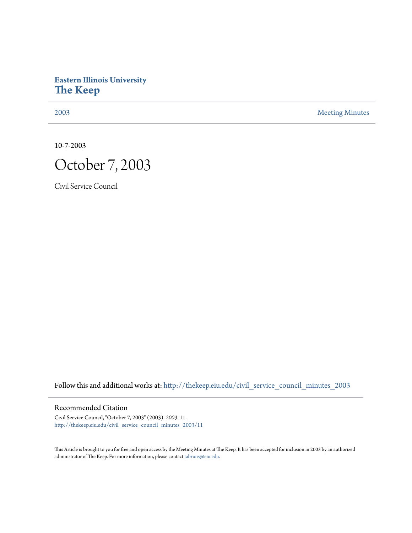## **Eastern Illinois University [The Keep](http://thekeep.eiu.edu?utm_source=thekeep.eiu.edu%2Fcivil_service_council_minutes_2003%2F11&utm_medium=PDF&utm_campaign=PDFCoverPages)**

[2003](http://thekeep.eiu.edu/civil_service_council_minutes_2003?utm_source=thekeep.eiu.edu%2Fcivil_service_council_minutes_2003%2F11&utm_medium=PDF&utm_campaign=PDFCoverPages) [Meeting Minutes](http://thekeep.eiu.edu/civil_service_council_minutes?utm_source=thekeep.eiu.edu%2Fcivil_service_council_minutes_2003%2F11&utm_medium=PDF&utm_campaign=PDFCoverPages)

10-7-2003



Civil Service Council

Follow this and additional works at: [http://thekeep.eiu.edu/civil\\_service\\_council\\_minutes\\_2003](http://thekeep.eiu.edu/civil_service_council_minutes_2003?utm_source=thekeep.eiu.edu%2Fcivil_service_council_minutes_2003%2F11&utm_medium=PDF&utm_campaign=PDFCoverPages)

Recommended Citation

Civil Service Council, "October 7, 2003" (2003). *2003*. 11. [http://thekeep.eiu.edu/civil\\_service\\_council\\_minutes\\_2003/11](http://thekeep.eiu.edu/civil_service_council_minutes_2003/11?utm_source=thekeep.eiu.edu%2Fcivil_service_council_minutes_2003%2F11&utm_medium=PDF&utm_campaign=PDFCoverPages)

This Article is brought to you for free and open access by the Meeting Minutes at The Keep. It has been accepted for inclusion in 2003 by an authorized administrator of The Keep. For more information, please contact [tabruns@eiu.edu.](mailto:tabruns@eiu.edu)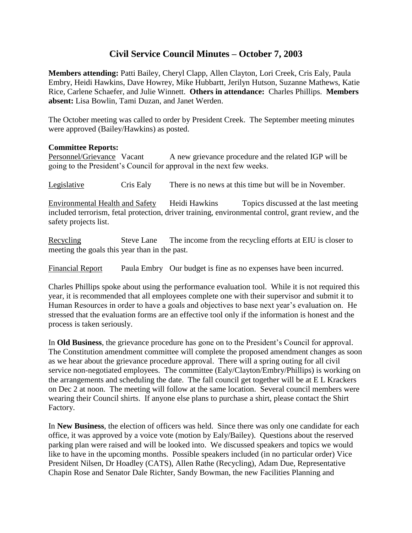## **Civil Service Council Minutes – October 7, 2003**

**Members attending:** Patti Bailey, Cheryl Clapp, Allen Clayton, Lori Creek, Cris Ealy, Paula Embry, Heidi Hawkins, Dave Howrey, Mike Hubbartt, Jerilyn Hutson, Suzanne Mathews, Katie Rice, Carlene Schaefer, and Julie Winnett. **Others in attendance:** Charles Phillips. **Members absent:** Lisa Bowlin, Tami Duzan, and Janet Werden.

The October meeting was called to order by President Creek. The September meeting minutes were approved (Bailey/Hawkins) as posted.

## **Committee Reports:**

Personnel/Grievance Vacant A new grievance procedure and the related IGP will be going to the President's Council for approval in the next few weeks.

Legislative Cris Ealy There is no news at this time but will be in November.

Environmental Health and Safety Heidi Hawkins Topics discussed at the last meeting included terrorism, fetal protection, driver training, environmental control, grant review, and the safety projects list.

Recycling Steve Lane The income from the recycling efforts at EIU is closer to meeting the goals this year than in the past.

Financial Report Paula Embry Our budget is fine as no expenses have been incurred.

Charles Phillips spoke about using the performance evaluation tool. While it is not required this year, it is recommended that all employees complete one with their supervisor and submit it to Human Resources in order to have a goals and objectives to base next year's evaluation on. He stressed that the evaluation forms are an effective tool only if the information is honest and the process is taken seriously.

In **Old Business**, the grievance procedure has gone on to the President's Council for approval. The Constitution amendment committee will complete the proposed amendment changes as soon as we hear about the grievance procedure approval. There will a spring outing for all civil service non-negotiated employees. The committee (Ealy/Clayton/Embry/Phillips) is working on the arrangements and scheduling the date. The fall council get together will be at E L Krackers on Dec 2 at noon. The meeting will follow at the same location. Several council members were wearing their Council shirts. If anyone else plans to purchase a shirt, please contact the Shirt Factory.

In **New Business**, the election of officers was held. Since there was only one candidate for each office, it was approved by a voice vote (motion by Ealy/Bailey). Questions about the reserved parking plan were raised and will be looked into. We discussed speakers and topics we would like to have in the upcoming months. Possible speakers included (in no particular order) Vice President Nilsen, Dr Hoadley (CATS), Allen Rathe (Recycling), Adam Due, Representative Chapin Rose and Senator Dale Richter, Sandy Bowman, the new Facilities Planning and